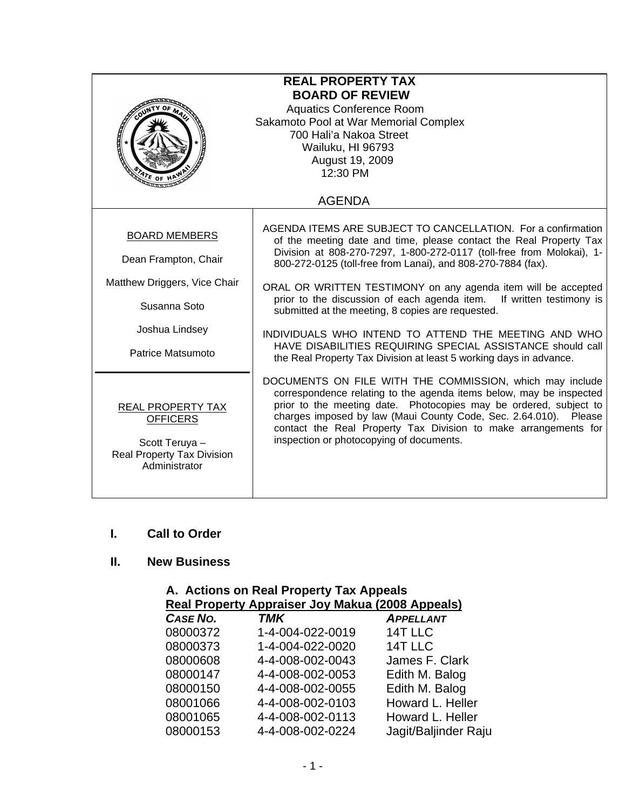| <b>REAL PROPERTY TAX</b><br><b>BOARD OF REVIEW</b><br><b>Aquatics Conference Room</b><br>Sakamoto Pool at War Memorial Complex<br>700 Hali'a Nakoa Street<br>Wailuku, HI 96793<br>August 19, 2009<br>12:30 PM |                                                                                                                                                                                                                                                                                                                                                                                                                                                                                                                                                                                                                                                                          |  |
|---------------------------------------------------------------------------------------------------------------------------------------------------------------------------------------------------------------|--------------------------------------------------------------------------------------------------------------------------------------------------------------------------------------------------------------------------------------------------------------------------------------------------------------------------------------------------------------------------------------------------------------------------------------------------------------------------------------------------------------------------------------------------------------------------------------------------------------------------------------------------------------------------|--|
|                                                                                                                                                                                                               | <b>AGENDA</b>                                                                                                                                                                                                                                                                                                                                                                                                                                                                                                                                                                                                                                                            |  |
| <b>BOARD MEMBERS</b><br>Dean Frampton, Chair<br>Matthew Driggers, Vice Chair<br>Susanna Soto<br>Joshua Lindsey<br>Patrice Matsumoto                                                                           | AGENDA ITEMS ARE SUBJECT TO CANCELLATION. For a confirmation<br>of the meeting date and time, please contact the Real Property Tax<br>Division at 808-270-7297, 1-800-272-0117 (toll-free from Molokai), 1-<br>800-272-0125 (toll-free from Lanai), and 808-270-7884 (fax).<br>ORAL OR WRITTEN TESTIMONY on any agenda item will be accepted<br>prior to the discussion of each agenda item.<br>If written testimony is<br>submitted at the meeting, 8 copies are requested.<br>INDIVIDUALS WHO INTEND TO ATTEND THE MEETING AND WHO<br>HAVE DISABILITIES REQUIRING SPECIAL ASSISTANCE should call<br>the Real Property Tax Division at least 5 working days in advance. |  |
| <b>REAL PROPERTY TAX</b><br><b>OFFICERS</b><br>Scott Teruya -<br><b>Real Property Tax Division</b><br>Administrator                                                                                           | DOCUMENTS ON FILE WITH THE COMMISSION, which may include<br>correspondence relating to the agenda items below, may be inspected<br>prior to the meeting date. Photocopies may be ordered, subject to<br>charges imposed by law (Maui County Code, Sec. 2.64.010). Please<br>contact the Real Property Tax Division to make arrangements for<br>inspection or photocopying of documents.                                                                                                                                                                                                                                                                                  |  |

#### **I. Call to Order**

## **II. New Business**

| A. Actions on Real Property Tax Appeals<br><b>Real Property Appraiser Joy Makua (2008 Appeals)</b> |                  |                      |
|----------------------------------------------------------------------------------------------------|------------------|----------------------|
| CASE NO.                                                                                           | <b>TMK</b>       | <b>APPELLANT</b>     |
| 08000372                                                                                           | 1-4-004-022-0019 | 14T LLC              |
| 08000373                                                                                           | 1-4-004-022-0020 | 14T LLC              |
| 08000608                                                                                           | 4-4-008-002-0043 | James F. Clark       |
| 08000147                                                                                           | 4-4-008-002-0053 | Edith M. Balog       |
| 08000150                                                                                           | 4-4-008-002-0055 | Edith M. Balog       |
| 08001066                                                                                           | 4-4-008-002-0103 | Howard L. Heller     |
| 08001065                                                                                           | 4-4-008-002-0113 | Howard L. Heller     |
| 08000153                                                                                           | 4-4-008-002-0224 | Jagit/Baljinder Raju |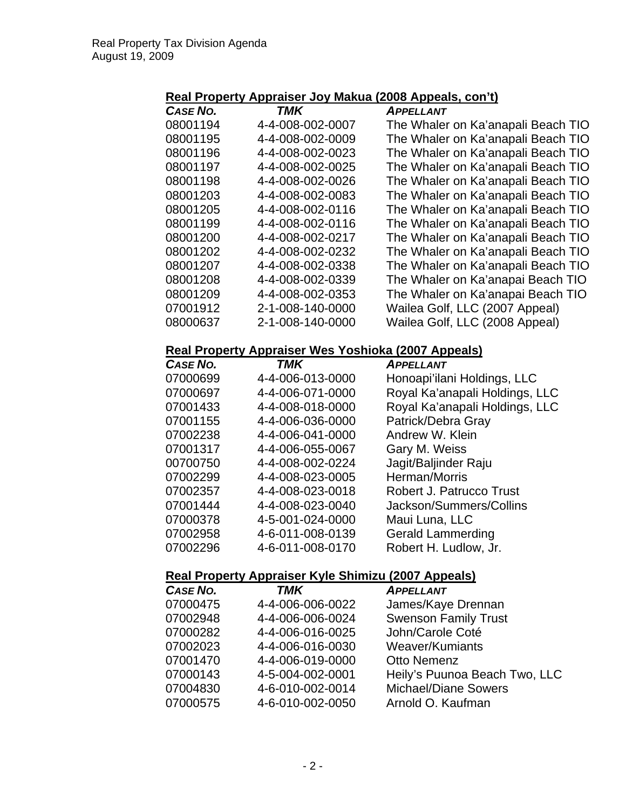# **Real Property Appraiser Joy Makua (2008 Appeals, con't)**

| CASE NO. | TMK              | <b>APPELLANT</b>                   |
|----------|------------------|------------------------------------|
| 08001194 | 4-4-008-002-0007 | The Whaler on Ka'anapali Beach TIO |
| 08001195 | 4-4-008-002-0009 | The Whaler on Ka'anapali Beach TIO |
| 08001196 | 4-4-008-002-0023 | The Whaler on Ka'anapali Beach TIO |
| 08001197 | 4-4-008-002-0025 | The Whaler on Ka'anapali Beach TIO |
| 08001198 | 4-4-008-002-0026 | The Whaler on Ka'anapali Beach TIO |
| 08001203 | 4-4-008-002-0083 | The Whaler on Ka'anapali Beach TIO |
| 08001205 | 4-4-008-002-0116 | The Whaler on Ka'anapali Beach TIO |
| 08001199 | 4-4-008-002-0116 | The Whaler on Ka'anapali Beach TIO |
| 08001200 | 4-4-008-002-0217 | The Whaler on Ka'anapali Beach TIO |
| 08001202 | 4-4-008-002-0232 | The Whaler on Ka'anapali Beach TIO |
| 08001207 | 4-4-008-002-0338 | The Whaler on Ka'anapali Beach TIO |
| 08001208 | 4-4-008-002-0339 | The Whaler on Ka'anapai Beach TIO  |
| 08001209 | 4-4-008-002-0353 | The Whaler on Ka'anapai Beach TIO  |
| 07001912 | 2-1-008-140-0000 | Wailea Golf, LLC (2007 Appeal)     |
| 08000637 | 2-1-008-140-0000 | Wailea Golf, LLC (2008 Appeal)     |

### **Real Property Appraiser Wes Yoshioka (2007 Appeals)**

| <b>CASE NO.</b> | TMK              | <b>APPELLANT</b>               |
|-----------------|------------------|--------------------------------|
| 07000699        | 4-4-006-013-0000 | Honoapi'ilani Holdings, LLC    |
| 07000697        | 4-4-006-071-0000 | Royal Ka'anapali Holdings, LLC |
| 07001433        | 4-4-008-018-0000 | Royal Ka'anapali Holdings, LLC |
| 07001155        | 4-4-006-036-0000 | Patrick/Debra Gray             |
| 07002238        | 4-4-006-041-0000 | Andrew W. Klein                |
| 07001317        | 4-4-006-055-0067 | Gary M. Weiss                  |
| 00700750        | 4-4-008-002-0224 | Jagit/Baljinder Raju           |
| 07002299        | 4-4-008-023-0005 | Herman/Morris                  |
| 07002357        | 4-4-008-023-0018 | Robert J. Patrucco Trust       |
| 07001444        | 4-4-008-023-0040 | Jackson/Summers/Collins        |
| 07000378        | 4-5-001-024-0000 | Maui Luna, LLC                 |
| 07002958        | 4-6-011-008-0139 | <b>Gerald Lammerding</b>       |
| 07002296        | 4-6-011-008-0170 | Robert H. Ludlow, Jr.          |

#### **Real Property Appraiser Kyle Shimizu (2007 Appeals)**

| CASE NO. | <b>TMK</b>       | <b>APPELLANT</b>              |
|----------|------------------|-------------------------------|
| 07000475 | 4-4-006-006-0022 | James/Kaye Drennan            |
| 07002948 | 4-4-006-006-0024 | <b>Swenson Family Trust</b>   |
| 07000282 | 4-4-006-016-0025 | John/Carole Coté              |
| 07002023 | 4-4-006-016-0030 | Weaver/Kumiants               |
| 07001470 | 4-4-006-019-0000 | <b>Otto Nemenz</b>            |
| 07000143 | 4-5-004-002-0001 | Heily's Puunoa Beach Two, LLC |
| 07004830 | 4-6-010-002-0014 | <b>Michael/Diane Sowers</b>   |
| 07000575 | 4-6-010-002-0050 | Arnold O. Kaufman             |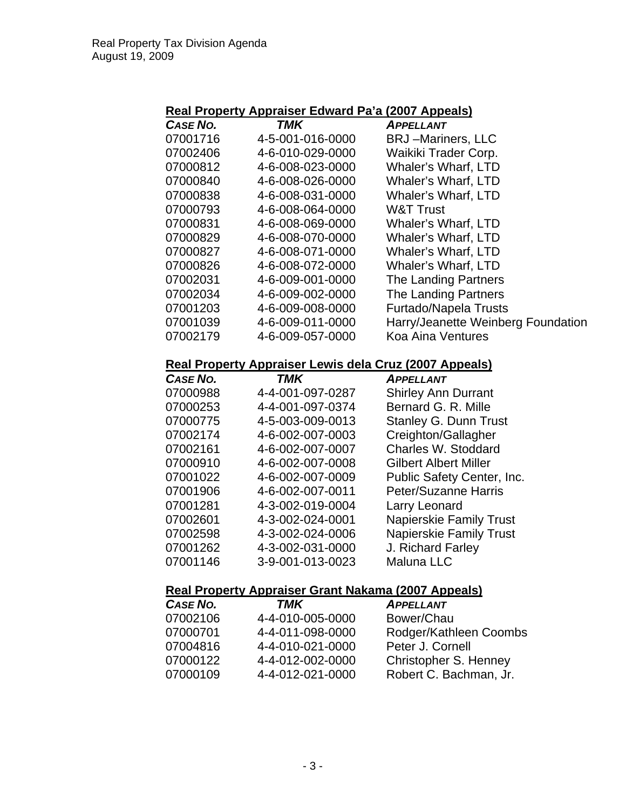#### **Real Property Appraiser Edward Pa'a (2007 Appeals)**

| <b>CASE NO.</b> | <b>TMK</b>       | <b>APPELLANT</b>                   |
|-----------------|------------------|------------------------------------|
| 07001716        | 4-5-001-016-0000 | <b>BRJ</b> -Mariners, LLC          |
| 07002406        | 4-6-010-029-0000 | Waikiki Trader Corp.               |
| 07000812        | 4-6-008-023-0000 | <b>Whaler's Wharf, LTD</b>         |
| 07000840        | 4-6-008-026-0000 | <b>Whaler's Wharf, LTD</b>         |
| 07000838        | 4-6-008-031-0000 | <b>Whaler's Wharf, LTD</b>         |
| 07000793        | 4-6-008-064-0000 | <b>W&amp;T Trust</b>               |
| 07000831        | 4-6-008-069-0000 | <b>Whaler's Wharf, LTD</b>         |
| 07000829        | 4-6-008-070-0000 | <b>Whaler's Wharf, LTD</b>         |
| 07000827        | 4-6-008-071-0000 | <b>Whaler's Wharf, LTD</b>         |
| 07000826        | 4-6-008-072-0000 | Whaler's Wharf, LTD                |
| 07002031        | 4-6-009-001-0000 | The Landing Partners               |
| 07002034        | 4-6-009-002-0000 | The Landing Partners               |
| 07001203        | 4-6-009-008-0000 | Furtado/Napela Trusts              |
| 07001039        | 4-6-009-011-0000 | Harry/Jeanette Weinberg Foundation |
| 07002179        | 4-6-009-057-0000 | <b>Koa Aina Ventures</b>           |

#### **Real Property Appraiser Lewis dela Cruz (2007 Appeals)**

| <b>CASE NO.</b> | TMK              | <b>APPELLANT</b>               |
|-----------------|------------------|--------------------------------|
| 07000988        | 4-4-001-097-0287 | <b>Shirley Ann Durrant</b>     |
| 07000253        | 4-4-001-097-0374 | Bernard G. R. Mille            |
| 07000775        | 4-5-003-009-0013 | <b>Stanley G. Dunn Trust</b>   |
| 07002174        | 4-6-002-007-0003 | Creighton/Gallagher            |
| 07002161        | 4-6-002-007-0007 | Charles W. Stoddard            |
| 07000910        | 4-6-002-007-0008 | <b>Gilbert Albert Miller</b>   |
| 07001022        | 4-6-002-007-0009 | Public Safety Center, Inc.     |
| 07001906        | 4-6-002-007-0011 | <b>Peter/Suzanne Harris</b>    |
| 07001281        | 4-3-002-019-0004 | Larry Leonard                  |
| 07002601        | 4-3-002-024-0001 | <b>Napierskie Family Trust</b> |
| 07002598        | 4-3-002-024-0006 | <b>Napierskie Family Trust</b> |
| 07001262        | 4-3-002-031-0000 | J. Richard Farley              |
| 07001146        | 3-9-001-013-0023 | <b>Maluna LLC</b>              |

## **Real Property Appraiser Grant Nakama (2007 Appeals)**

| CASE NO. | TMK              | <b>APPELLANT</b>       |
|----------|------------------|------------------------|
| 07002106 | 4-4-010-005-0000 | Bower/Chau             |
| 07000701 | 4-4-011-098-0000 | Rodger/Kathleen Coombs |
| 07004816 | 4-4-010-021-0000 | Peter J. Cornell       |
| 07000122 | 4-4-012-002-0000 | Christopher S. Henney  |
| 07000109 | 4-4-012-021-0000 | Robert C. Bachman, Jr. |